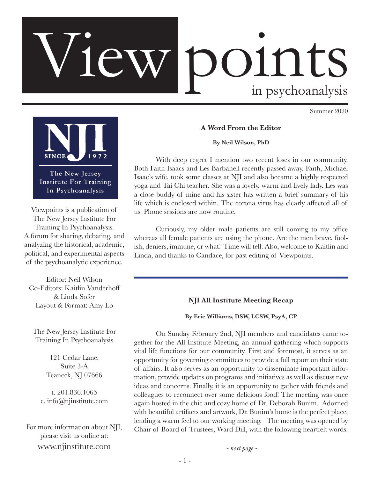# OINtS<br>in psychoanalysis

Summer 2020



The New Jersey Institute For Training In Psychoanalysis

Viewpoints is a publication of The New Jersey Institute For Training In Psychoanalysis. A forum for sharing, debating, and analyzing the historical, academic, political, and experimental aspects of the psychoanalytic experience.

Editor: Neil Wilson Co-Editors: Kaitlin Vanderhoff & Linda Sofer Layout & Format: Amy Lo

The New Jersey Institute For Training In Psychoanalysis

> 121 Cedar Lane, Suite 3-A Teaneck, NJ 07666

t. 201.836.1065 e. info@njinstitute.com

For more information about NJI, please visit us online at: www.njinstitute.com

**A Word From the Editor**

**By Neil Wilson, PhD**

With deep regret I mention two recent loses in our community. Both Faith Isaacs and Les Barbanell recently passed away. Faith, Michael Isaac's wife, took some classes at NJI and also became a highly respected yoga and Tai Chi teacher. She was a lovely, warm and lively lady. Les was a close buddy of mine and his sister has written a brief summary of his life which is enclosed within. The corona virus has clearly affected all of us. Phone sessions are now routine.

Curiously, my older male patients are still coming to my office whereas all female patients are using the phone. Are the men brave, foolish, deniers, immune, or what? Time will tell. Also, welcome to Kaitlin and Linda, and thanks to Candace, for past editing of Viewpoints.

# **NJI All Institute Meeting Recap**

**By Eric Williams, DSW, LCSW, PsyA, CP**

On Sunday February 2nd, NJI members and candidates came together for the All Institute Meeting, an annual gathering which supports vital life functions for our community. First and foremost, it serves as an opportunity for governing committees to provide a full report on their state of affairs. It also serves as an opportunity to disseminate important information, provide updates on programs and initiatives as well as discuss new ideas and concerns. Finally, it is an opportunity to gather with friends and colleagues to reconnect over some delicious food! The meeting was once again hosted in the chic and cozy home of Dr. Deborah Bunim. Adorned with beautiful artifacts and artwork, Dr. Bunim's home is the perfect place, lending a warm feel to our working meeting. The meeting was opened by Chair of Board of Trustees, Ward Dill, with the following heartfelt words:

*- next page -*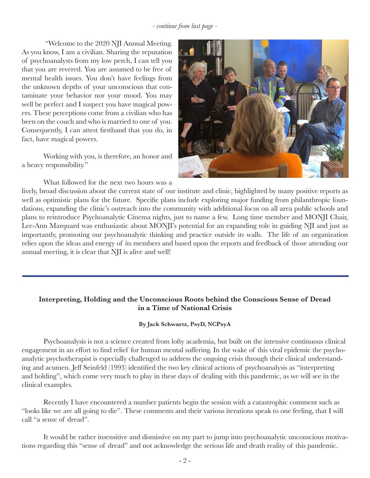#### *- continue from last page -*

 "Welcome to the 2020 NJI Annual Meeting. As you know, I am a civilian. Sharing the reputation of psychoanalysts from my low perch, I can tell you that you are revered. You are assumed to be free of mental health issues. You don't have feelings from the unknown depths of your unconscious that contaminate your behavior nor your mood. You may well be perfect and I suspect you have magical powers. These perceptions come from a civilian who has been on the couch and who is married to one of you. Consequently, I can attest firsthand that you do, in fact, have magical powers.

Working with you, is therefore, an honor and a heavy responsibility."

What followed for the next two hours was a



lively, broad discussion about the current state of our institute and clinic, highlighted by many positive reports as well as optimistic plans for the future. Specific plans include exploring major funding from philanthropic foundations, expanding the clinic's outreach into the community with additional focus on all area public schools and plans to reintroduce Psychoanalytic Cinema nights, just to name a few. Long time member and MONJI Chair, Lee-Ann Marquard was enthusiastic about MONJI's potential for an expanding role in guiding NJI and just as importantly, promoting our psychoanalytic thinking and practice outside its walls. The life of an organization relies upon the ideas and energy of its members and based upon the reports and feedback of those attending our annual meeting, it is clear that NJI is alive and well!

# **Interpreting, Holding and the Unconscious Roots behind the Conscious Sense of Dread in a Time of National Crisis**

#### **By Jack Schwartz, PsyD, NCPsyA**

Psychoanalysis is not a science created from lofty academia, but built on the intensive continuous clinical engagement in an effort to find relief for human mental suffering. In the wake of this viral epidemic the psychoanalytic psychotherapist is especially challenged to address the ongoing crisis through their clinical understanding and acumen. Jeff Seinfeld (1993) identified the two key clinical actions of psychoanalysis as "interpreting and holding", which come very much to play in these days of dealing with this pandemic, as we will see in the clinical examples.

Recently I have encountered a number patients begin the session with a catastrophic comment such as "looks like we are all going to die". These comments and their various iterations speak to one feeling, that I will call "a sense of dread".

It would be rather insensitive and dismissive on my part to jump into psychoanalytic unconscious motivations regarding this "sense of dread" and not acknowledge the serious life and death reality of this pandemic.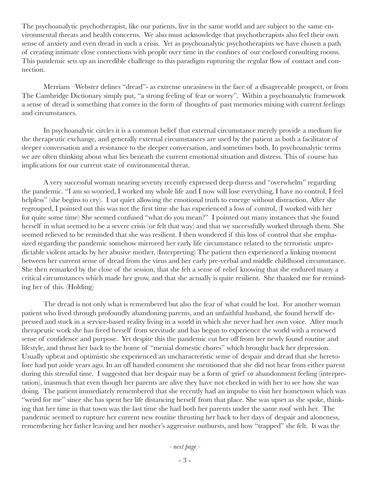The psychoanalytic psychotherapist, like our patients, live in the same world and are subject to the same environmental threats and health concerns. We also must acknowledge that psychotherapists also feel their own sense of anxiety and even dread in such a crisis. Yet as psychoanalytic psychotherapists we have chosen a path of creating intimate close connections with people over time in the confines of our enclosed consulting rooms. This pandemic sets up an incredible challenge to this paradigm rupturing the regular flow of contact and connection.

Merriam –Webster defines "dread"- as extreme uneasiness in the face of a disagreeable prospect, or from The Cambridge Dictionary simply put, "a strong feeling of fear or worry". Within a psychoanalytic framework a sense of dread is something that comes in the form of thoughts of past memories mixing with current feelings and circumstances.

In psychoanalytic circles it is a common belief that external circumstance merely provide a medium for the therapeutic exchange, and generally external circumstances are used by the patient as both a facilitator of deeper conversation and a resistance to the deeper conversation, and sometimes both. In psychoanalytic terms we are often thinking about what lies beneath the current emotional situation and distress. This of course has implications for our current state of environmental threat.

A very successful woman nearing seventy recently expressed deep duress and "overwhelm" regarding the pandemic. "I am so worried, I worked my whole life and I now will lose everything, I have no control, I feel helpless" (she begins to cry). I sat quiet allowing the emotional truth to emerge without distraction. After she regrouped, I pointed out this was not the first time she has experienced a loss of control, (I worked with her for quite some time) She seemed confused "what do you mean?" I pointed out many instances that she found herself in what seemed to be a severe crisis (or felt that way) and that we successfully worked through them. She seemed relieved to be reminded that she was resilient. I then wondered if this loss of control that she emphasized regarding the pandemic somehow mirrored her early life circumstance related to the terroristic unpredictable violent attacks by her abusive mother, (Interpreting) The patient then experienced a linking moment between her current sense of dread from the virus and her early pre-verbal and middle childhood circumstance. She then remarked by the close of the session, that she felt a sense of relief knowing that she endured many a critical circumstances which made her grow, and that she actually is quite resilient. She thanked me for reminding her of this. (Holding)

The dread is not only what is remembered but also the fear of what could be lost. For another woman patient who lived through profoundly abandoning parents, and an unfaithful husband, she found herself depressed and stuck in a service-based reality living in a world in which she never had her own voice. After much therapeutic work she has freed herself from servitude and has begun to experience the world with a renewed sense of confidence and purpose. Yet despite this the pandemic cut her off from her newly found routine and lifestyle, and thrust her back to the home of "menial domestic chores" which brought back her depression. Usually upbeat and optimistic she experienced an uncharacteristic sense of despair and dread that she heretofore had put aside years ago. In an off handed comment she mentioned that she did not hear from either parent during this stressful time. I suggested that her despair may be a form of grief or abandonment feeling (interpretation), inasmuch that even though her parents are alive they have not checked in with her to see how she was doing. The patient immediately remembered that she recently had an impulse to visit her hometown which was "weird for me" since she has spent her life distancing herself from that place. She was upset as she spoke, thinking that her time in that town was the last time she had both her parents under the same roof with her. The pandemic seemed to rupture her current new routine thrusting her back to her days of despair and aloneness, remembering her father leaving and her mother's aggressive outbursts, and how "trapped" she felt. It was the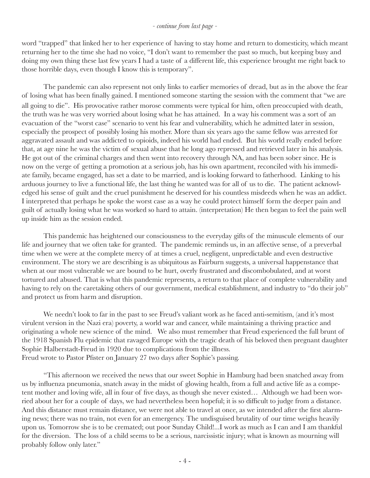#### *- continue from last page -*

word "trapped" that linked her to her experience of having to stay home and return to domesticity, which meant returning her to the time she had no voice, "I don't want to remember the past so much, but keeping busy and doing my own thing these last few years I had a taste of a different life, this experience brought me right back to those horrible days, even though I know this is temporary".

The pandemic can also represent not only links to earlier memories of dread, but as in the above the fear of losing what has been finally gained. I mentioned someone starting the session with the comment that "we are all going to die". His provocative rather morose comments were typical for him, often preoccupied with death, the truth was he was very worried about losing what he has attained. In a way his comment was a sort of an evacuation of the "worst case" scenario to vent his fear and vulnerability, which he admitted later in session, especially the prospect of possibly losing his mother. More than six years ago the same fellow was arrested for aggravated assault and was addicted to opioids, indeed his world had ended. But his world really ended before that, at age nine he was the victim of sexual abuse that he long ago repressed and retrieved later in his analysis. He got out of the criminal charges and then went into recovery through NA, and has been sober since. He is now on the verge of getting a promotion at a serious job, has his own apartment, reconciled with his immediate family, became engaged, has set a date to be married, and is looking forward to fatherhood. Linking to his arduous journey to live a functional life, the last thing he wanted was for all of us to die. The patient acknowledged his sense of guilt and the cruel punishment he deserved for his countless misdeeds when he was an addict. I interpreted that perhaps he spoke the worst case as a way he could protect himself form the deeper pain and guilt of actually losing what he was worked so hard to attain. (interpretation) He then began to feel the pain well up inside him as the session ended.

This pandemic has heightened our consciousness to the everyday gifts of the minuscule elements of our life and journey that we often take for granted. The pandemic reminds us, in an affective sense, of a preverbal time when we were at the complete mercy of at times a cruel, negligent, unpredictable and even destructive environment. The story we are describing is as ubiquitous as Fairburn suggests, a universal happenstance that when at our most vulnerable we are bound to be hurt, overly frustrated and discombobulated, and at worst tortured and abused. That is what this pandemic represents, a return to that place of complete vulnerability and having to rely on the caretaking others of our government, medical establishment, and industry to "do their job" and protect us from harm and disruption.

We needn't look to far in the past to see Freud's valiant work as he faced anti-semitism, (and it's most virulent version in the Nazi era) poverty, a world war and cancer, while maintaining a thriving practice and originating a whole new science of the mind. We also must remember that Freud experienced the full brunt of the 1918 Spanish Flu epidemic that ravaged Europe with the tragic death of his beloved then pregnant daughter Sophie Halberstadt-Freud in 1920 due to complications from the illness. Freud wrote to Pastor Pfister on January 27 two days after Sophie's passing.

"This afternoon we received the news that our sweet Sophie in Hamburg had been snatched away from us by influenza pneumonia, snatch away in the midst of glowing health, from a full and active life as a competent mother and loving wife, all in four of five days, as though she never existed… Although we had been worried about her for a couple of days, we had nevertheless been hopeful; it is so difficult to judge from a distance. And this distance must remain distance, we were not able to travel at once, as we intended after the first alarming news; there was no train, not even for an emergency. The undisguised brutality of our time weighs heavily upon us. Tomorrow she is to be cremated; out poor Sunday Child!...I work as much as I can and I am thankful for the diversion. The loss of a child seems to be a serious, narcissistic injury; what is known as mourning will probably follow only later."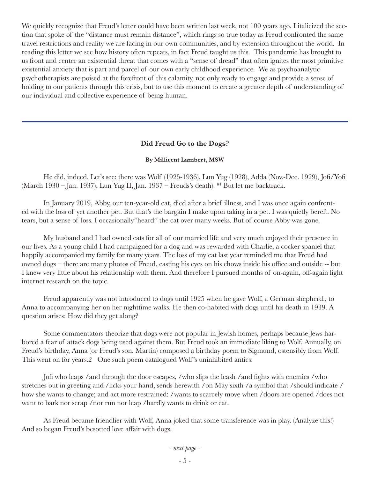We quickly recognize that Freud's letter could have been written last week, not 100 years ago. I italicized the section that spoke of the "distance must remain distance", which rings so true today as Freud confronted the same travel restrictions and reality we are facing in our own communities, and by extension throughout the world. In reading this letter we see how history often repeats, in fact Freud taught us this. This pandemic has brought to us front and center an existential threat that comes with a "sense of dread" that often ignites the most primitive existential anxiety that is part and parcel of our own early childhood experience. We as psychoanalytic psychotherapists are poised at the forefront of this calamity, not only ready to engage and provide a sense of holding to our patients through this crisis, but to use this moment to create a greater depth of understanding of our individual and collective experience of being human.

# **Did Freud Go to the Dogs?**

# **By Millicent Lambert, MSW**

He did, indeed. Let's see: there was Wolf (1925-1936), Lun Yug (1928), Adda (Nov.-Dec. 1929), Jofi/Yofi (March 1930 – Jan. 1937), Lun Yug II, Jan. 1937 – Freuds's death). #1 But let me backtrack.

In January 2019, Abby, our ten-year-old cat, died after a brief illness, and I was once again confronted with the loss of yet another pet. But that's the bargain I make upon taking in a pet. I was quietly bereft. No tears, but a sense of loss. I occasionally"heard" the cat over many weeks. But of course Abby was gone.

My husband and I had owned cats for all of our married life and very much enjoyed their presence in our lives. As a young child I had campaigned for a dog and was rewarded with Charlie, a cocker spaniel that happily accompanied my family for many years. The loss of my cat last year reminded me that Freud had owned dogs – there are many photos of Freud, casting his eyes on his chows inside his office and outside -- but I knew very little about his relationship with them. And therefore I pursued months of on-again, off-again light internet research on the topic.

Freud apparently was not introduced to dogs until 1925 when he gave Wolf, a German shepherd., to Anna to accompanying her on her nighttime walks. He then co-habited with dogs until his death in 1939. A question arises: How did they get along?

Some commentators theorize that dogs were not popular in Jewish homes, perhaps because Jews harbored a fear of attack dogs being used against them. But Freud took an immediate liking to Wolf. Annually, on Freud's birthday, Anna (or Freud's son, Martin) composed a birthday poem to Sigmund, ostensibly from Wolf. This went on for years.2 One such poem catalogued Wolf 's uninhibited antics:

Jofi who leaps /and through the door escapes, /who slips the leash /and fights with enemies /who stretches out in greeting and /licks your hand, sends herewith /on May sixth /a symbol that /should indicate / how she wants to change; and act more restrained: /wants to scarcely move when /doors are opened /does not want to bark nor scrap /nor run nor leap /hardly wants to drink or eat.

As Freud became friendlier with Wolf, Anna joked that some transference was in play. (Analyze this!) And so began Freud's besotted love affair with dogs.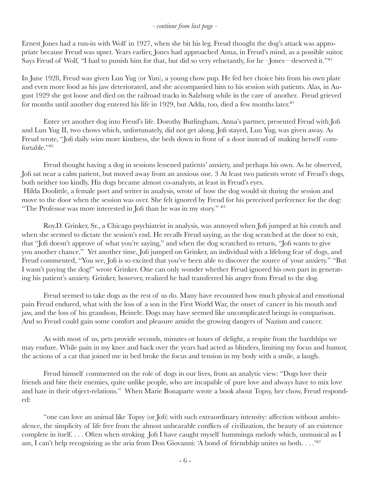# *- continue from last page -*

Ernest Jones had a run-in with Wolf in 1927, when she bit his leg. Freud thought the dog's attack was appropriate because Freud was upset. Years earlier, Jones had approached Anna, in Freud's mind, as a possible suitor. Says Freud of Wolf, "I had to punish him for that, but did so very reluctantly, for he –Jones—deserved it."#1

In June 1928, Freud was given Lun Yug (or Yun), a young chow pup. He fed her choice bits from his own plate and even more food as his jaw deteriorated, and she accompanied him to his session with patients. Alas, in August 1929 she got loose and died on the railroad tracks in Salzburg while in the care of another. Freud grieved for months until another dog entered his life in 1929, but Adda, too, died a few months later.<sup>#1</sup>

Enter yet another dog into Freud's life. Dorothy Burlingham, Anna's partner, presented Freud with Jofi and Lun Yug II, two chows which, unfortunately, did not get along. Jofi stayed, Lun Yug, was given away. As Freud wrote, "Jofi daily wins more kindness, she beds down in front of a door instead of making herself comfortable."#1

Freud thought having a dog in sessions lessened patients' anxiety, and perhaps his own. As he observed, Jofi sat near a calm patient, but moved away from an anxious one. 3 At least two patients wrote of Freud's dogs, both neither too kindly. His dogs became almost co-analysts, at least in Freud's eyes. Hilda Doolittle, a female poet and writer in analysis, wrote of how the dog would sit during the session and move to the door when the session was over. She felt ignored by Freud for his perceived preference for the dog: "The Professor was more interested in Jofi than he was in my story." #3

Roy.D. Grinker, Sr., a Chicago psychiatrist in analysis, was annoyed when Jofi jumped at his crotch and when she seemed to dictate the session's end. He recalls Freud saying, as the dog scratched at the door to exit, that "Jofi doesn't approve of what you're saying," and when the dog scratched to return, "Jofi wants to give you another chance." Yet another time, Jofi jumped on Grinker, an individual with a lifelong fear of dogs, and Freud commented, "You see, Jofi is so excited that you've been able to discover the source of your anxiety." "But I wasn't paying the dog!" wrote Grinker. One can only wonder whether Freud ignored his own part in generating his patient's anxiety. Grinker, however, realized he had transferred his anger from Freud to the dog.

Freud seemed to take dogs as the rest of us do. Many have recounted how much physical and emotional pain Freud endured, what with the loss of a son in the First World War, the onset of cancer in his mouth and jaw, and the loss of his grandson, Heinele. Dogs may have seemed like uncomplicated beings in comparison. And so Freud could gain some comfort and pleasure amidst the growing dangers of Nazism and cancer.

As with most of us, pets provide seconds, minutes or hours of delight, a respite from the hardships we may endure. While pain in my knee and back over the years had acted as blinders, limiting my focus and humor, the actions of a cat that joined me in bed broke the focus and tension in my body with a smile, a laugh.

Freud himself commented on the role of dogs in our lives, from an analytic view: "Dogs love their friends and bite their enemies, quite unlike people, who are incapable of pure love and always have to mix love and hate in their object-relations." When Marie Bonaparte wrote a book about Topsy, her chow, Freud responded:

"one can love an animal like Topsy (or Jofi) with such extraordinary intensity: affection without ambivalence, the simplicity of life free from the almost unbearable conflicts of civilization, the beauty of an existence complete in itself. . . . Often when stroking Jofi I have caught myself humminga melody which, unmusical as I am, I can't help recognizing as the aria from Don Giovanni: 'A bond of friendship unites us both. . . . <sup>\*#2</sup>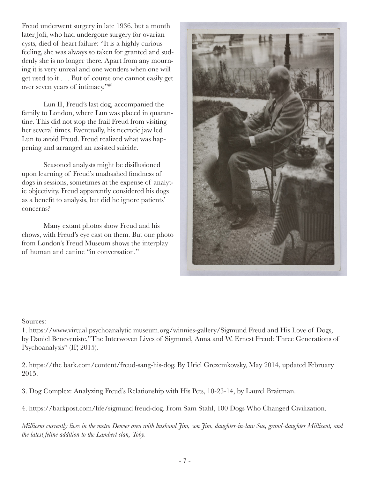Freud underwent surgery in late 1936, but a month later Jofi, who had undergone surgery for ovarian cysts, died of heart failure: "It is a highly curious feeling, she was always so taken for granted and suddenly she is no longer there. Apart from any mourning it is very unreal and one wonders when one will get used to it . . . But of course one cannot easily get over seven years of intimacy."#1

Lun II, Freud's last dog, accompanied the family to London, where Lun was placed in quarantine. This did not stop the frail Freud from visiting her several times. Eventually, his necrotic jaw led Lun to avoid Freud. Freud realized what was happening and arranged an assisted suicide.

Seasoned analysts might be disillusioned upon learning of Freud's unabashed fondness of dogs in sessions, sometimes at the expense of analytic objectivity. Freud apparently considered his dogs as a benefit to analysis, but did he ignore patients' concerns?

Many extant photos show Freud and his chows, with Freud's eye cast on them. But one photo from London's Freud Museum shows the interplay of human and canine "in conversation."



# Sources:

1. https://www.virtual psychoanalytic museum.org/winnies-gallery/Sigmund Freud and His Love of Dogs, by Daniel Beneveniste,"The Interwoven Lives of Sigmund, Anna and W. Ernest Freud: Three Generations of Psychoanalysis" (IP, 2015).

2. https://the bark.com/content/freud-sang-his-dog. By Uriel Grezemkovsky, May 2014, updated February 2015.

3. Dog Complex: Analyzing Freud's Relationship with His Pets, 10-23-14, by Laurel Braitman.

4. https://barkpost.com/life/sigmund freud-dog. From Sam Stahl, 100 Dogs Who Changed Civilization.

*Millicent currently lives in the metro Denver area with husband Jim, son Jim, daughter-in-law Sue, grand-daughter Millicent, and the latest feline addition to the Lambert clan, Toby.*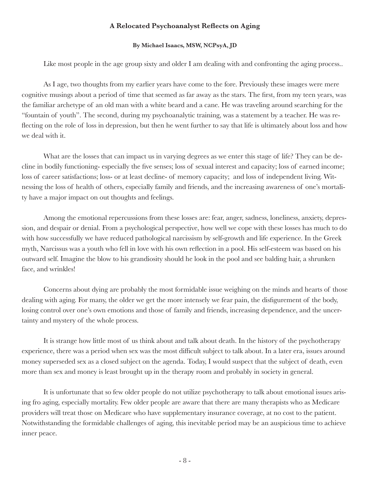#### **A Relocated Psychoanalyst Reflects on Aging**

#### **By Michael Isaacs, MSW, NCPsyA, JD**

Like most people in the age group sixty and older I am dealing with and confronting the aging process..

As I age, two thoughts from my earlier years have come to the fore. Previously these images were mere cognitive musings about a period of time that seemed as far away as the stars. The first, from my teen years, was the familiar archetype of an old man with a white beard and a cane. He was traveling around searching for the "fountain of youth". The second, during my psychoanalytic training, was a statement by a teacher. He was reflecting on the role of loss in depression, but then he went further to say that life is ultimately about loss and how we deal with it.

What are the losses that can impact us in varying degrees as we enter this stage of life? They can be decline in bodily functioning- especially the five senses; loss of sexual interest and capacity; loss of earned income; loss of career satisfactions; loss- or at least decline- of memory capacity; and loss of independent living. Witnessing the loss of health of others, especially family and friends, and the increasing awareness of one's mortality have a major impact on out thoughts and feelings.

Among the emotional repercussions from these losses are: fear, anger, sadness, loneliness, anxiety, depression, and despair or denial. From a psychological perspective, how well we cope with these losses has much to do with how successfully we have reduced pathological narcissism by self-growth and life experience. In the Greek myth, Narcissus was a youth who fell in love with his own reflection in a pool. His self-esteem was based on his outward self. Imagine the blow to his grandiosity should he look in the pool and see balding hair, a shrunken face, and wrinkles!

Concerns about dying are probably the most formidable issue weighing on the minds and hearts of those dealing with aging. For many, the older we get the more intensely we fear pain, the disfigurement of the body, losing control over one's own emotions and those of family and friends, increasing dependence, and the uncertainty and mystery of the whole process.

It is strange how little most of us think about and talk about death. In the history of the psychotherapy experience, there was a period when sex was the most difficult subject to talk about. In a later era, issues around money superseded sex as a closed subject on the agenda. Today, I would suspect that the subject of death, even more than sex and money is least brought up in the therapy room and probably in society in general.

It is unfortunate that so few older people do not utilize psychotherapy to talk about emotional issues arising fro aging, especially mortality. Few older people are aware that there are many therapists who as Medicare providers will treat those on Medicare who have supplementary insurance coverage, at no cost to the patient. Notwithstanding the formidable challenges of aging, this inevitable period may be an auspicious time to achieve inner peace.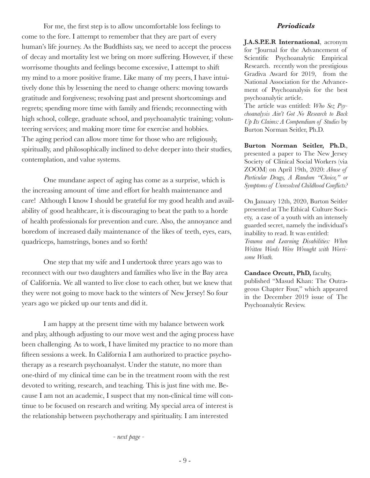For me, the first step is to allow uncomfortable loss feelings to come to the fore. I attempt to remember that they are part of every human's life journey. As the Buddhists say, we need to accept the process of decay and mortality lest we bring on more suffering. However, if these worrisome thoughts and feelings become excessive, I attempt to shift my mind to a more positive frame. Like many of my peers, I have intuitively done this by lessening the need to change others: moving towards gratitude and forgiveness; resolving past and present shortcomings and regrets; spending more time with family and friends; reconnecting with high school, college, graduate school, and psychoanalytic training; volunteering services; and making more time for exercise and hobbies. The aging period can allow more time for those who are religiously, spiritually, and philosophically inclined to delve deeper into their studies, contemplation, and value systems.

One mundane aspect of aging has come as a surprise, which is the increasing amount of time and effort for health maintenance and care! Although I know I should be grateful for my good health and availability of good healthcare, it is discouraging to beat the path to a horde of health professionals for prevention and cure. Also, the annoyance and boredom of increased daily maintenance of the likes of teeth, eyes, ears, quadriceps, hamstrings, bones and so forth!

One step that my wife and I undertook three years ago was to reconnect with our two daughters and families who live in the Bay area of California. We all wanted to live close to each other, but we knew that they were not going to move back to the winters of New Jersey! So four years ago we picked up our tents and did it.

I am happy at the present time with my balance between work and play, although adjusting to our move west and the aging process have been challenging. As to work, I have limited my practice to no more than fifteen sessions a week. In California I am authorized to practice psychotherapy as a research psychoanalyst. Under the statute, no more than one-third of my clinical time can be in the treatment room with the rest devoted to writing, research, and teaching. This is just fine with me. Because I am not an academic, I suspect that my non-clinical time will continue to be focused on research and writing. My special area of interest is the relationship between psychotherapy and spirituality. I am interested

*- next page -*

#### *Periodicals*

**J.A.S.P.E.R International**, acronym for "Journal for the Advancement of Scientific Psychoanalytic Empirical Research. recently won the prestigious Gradiva Award for 2019, from the National Association for the Advancement of Psychoanalysis for the best psychoanalytic article.

The article was entitled: *Who Sez Psychoanalysis Ain't Got No Research to Back Up Its Claims: A Compendium of Studies* by Burton Norman Seitler, Ph.D.

**Burton Norman Seitler, Ph.D.**, presented a paper to The New Jersey Society of Clinical Social Workers (via ZOOM) on April 19th, 2020: *Abuse of Particular Drugs, A Random "Choice," or Symptoms of Unresolved Childhood Conflicts?*

On January 12th, 2020, Burton Seitler presented at The Ethical Culture Society, a case of a youth with an intensely guarded secret, namely the individual's inability to read. It was entitled:

*Trauma and Learning Disabilities: When Written Words Were Wrought with Worrisome Wrath.*

#### **Candace Orcutt, PhD,** faculty,

published "Masud Khan: The Outrageous Chapter Four," which appeared in the December 2019 issue of The Psychoanalytic Review.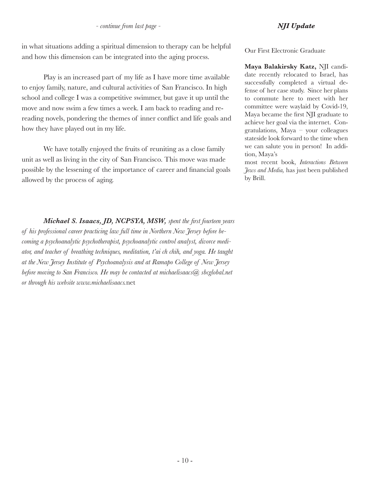in what situations adding a spiritual dimension to therapy can be helpful and how this dimension can be integrated into the aging process.

Play is an increased part of my life as I have more time available to enjoy family, nature, and cultural activities of San Francisco. In high school and college I was a competitive swimmer, but gave it up until the move and now swim a few times a week. I am back to reading and rereading novels, pondering the themes of inner conflict and life goals and how they have played out in my life.

We have totally enjoyed the fruits of reuniting as a close family unit as well as living in the city of San Francisco. This move was made possible by the lessening of the importance of career and financial goals allowed by the process of aging.

*Michael S. Isaacs, JD, NCPSYA, MSW, spent the first fourteen years of his professional career practicing law full time in Northern New Jersey before becoming a psychoanalytic psychotherapist, psychoanalytic control analyst, divorce mediator, and teacher of breathing techniques, meditation, t'ai ch chih, and yoga. He taught at the New Jersey Institute of Psychoanalysis and at Ramapo College of New Jersey before moving to San Francisco. He may be contacted at michaelisaacs@ sbcglobal.net or through his website www.michaelisaacs.*net

Our First Electronic Graduate

**Maya Balakirsky Katz,** NJI candidate recently relocated to Israel, has successfully completed a virtual defense of her case study. Since her plans to commute here to meet with her committee were waylaid by Covid-19, Maya became the first NJI graduate to achieve her goal via the internet. Congratulations, Maya – your colleagues stateside look forward to the time when we can salute you in person! In addition, Maya's

most recent book, *Interactions Between Jews and Media,* has just been published by Brill.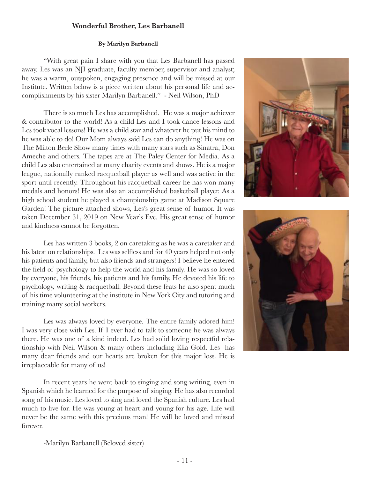# **Wonderful Brother, Les Barbanell**

#### **By Marilyn Barbanell**

"With great pain I share with you that Les Barbanell has passed away. Les was an NJI graduate, faculty member, supervisor and analyst; he was a warm, outspoken, engaging presence and will be missed at our Institute. Written below is a piece written about his personal life and accomplishments by his sister Marilyn Barbanell." - Neil Wilson, PhD

There is so much Les has accomplished. He was a major achiever & contributor to the world! As a child Les and I took dance lessons and Les took vocal lessons! He was a child star and whatever he put his mind to he was able to do! Our Mom always said Les can do anything! He was on The Milton Berle Show many times with many stars such as Sinatra, Don Ameche and others. The tapes are at The Paley Center for Media. As a child Les also entertained at many charity events and shows. He is a major league, nationally ranked racquetball player as well and was active in the sport until recently. Throughout his racquetball career he has won many medals and honors! He was also an accomplished basketball player. As a high school student he played a championship game at Madison Square Garden! The picture attached shows, Les's great sense of humor. It was taken December 31, 2019 on New Year's Eve. His great sense of humor and kindness cannot be forgotten.

Les has written 3 books, 2 on caretaking as he was a caretaker and his latest on relationships. Les was selfless and for 40 years helped not only his patients and family, but also friends and strangers! I believe he entered the field of psychology to help the world and his family. He was so loved by everyone, his friends, his patients and his family. He devoted his life to psychology, writing & racquetball. Beyond these feats he also spent much of his time volunteering at the institute in New York City and tutoring and training many social workers.

Les was always loved by everyone. The entire family adored him! I was very close with Les. If I ever had to talk to someone he was always there. He was one of a kind indeed. Les had solid loving respectful relationship with Neil Wilson & many others including Elia Gold. Les has many dear friends and our hearts are broken for this major loss. He is irreplaceable for many of us!

In recent years he went back to singing and song writing, even in Spanish which he learned for the purpose of singing. He has also recorded song of his music. Les loved to sing and loved the Spanish culture. Les had much to live for. He was young at heart and young for his age. Life will never be the same with this precious man! He will be loved and missed forever.





-Marilyn Barbanell (Beloved sister)